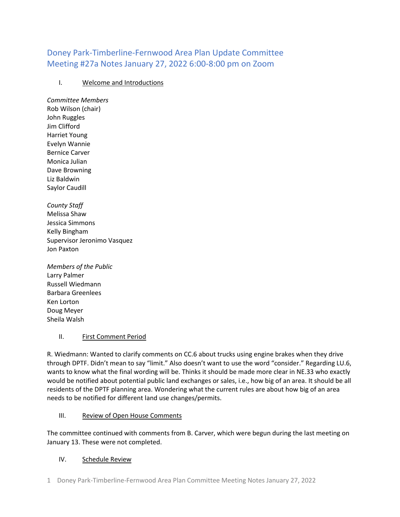# Doney Park-Timberline-Fernwood Area Plan Update Committee Meeting #27a Notes January 27, 2022 6:00-8:00 pm on Zoom

## I. Welcome and Introductions

*Committee Members* Rob Wilson (chair) John Ruggles Jim Clifford Harriet Young Evelyn Wannie Bernice Carver Monica Julian Dave Browning Liz Baldwin Saylor Caudill

*County Staff* Melissa Shaw Jessica Simmons Kelly Bingham Supervisor Jeronimo Vasquez Jon Paxton

*Members of the Public* Larry Palmer Russell Wiedmann Barbara Greenlees Ken Lorton Doug Meyer Sheila Walsh

## II. First Comment Period

R. Wiedmann: Wanted to clarify comments on CC.6 about trucks using engine brakes when they drive through DPTF. Didn't mean to say "limit." Also doesn't want to use the word "consider." Regarding LU.6, wants to know what the final wording will be. Thinks it should be made more clear in NE.33 who exactly would be notified about potential public land exchanges or sales, i.e., how big of an area. It should be all residents of the DPTF planning area. Wondering what the current rules are about how big of an area needs to be notified for different land use changes/permits.

#### III. Review of Open House Comments

The committee continued with comments from B. Carver, which were begun during the last meeting on January 13. These were not completed.

#### IV. Schedule Review

1 Doney Park-Timberline-Fernwood Area Plan Committee Meeting Notes January 27, 2022